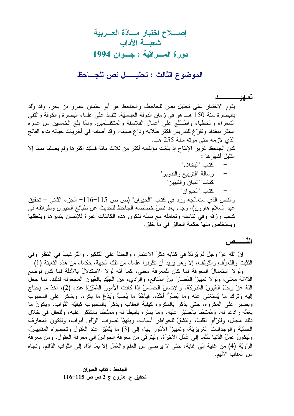### تمهي

يقوم الاختبار على تحليل نص للجاحظ، والجاحظ هو أبو عثمان عمرو بن بحر، وقد وُلد بالبصرة سنة 150 هــ هو في زمان الدولة العباسيّة. تتلمذ على علماء البصرة والكوفة والنقي الشعراء والخطباء واطَّـــلَّع على أعمال الفلاسفة والمنكلـــمين. ولمَّا بلغ الخمسين من عمره استقر ببغداد ونفرٍّغ للتدريس فكثر طلابه وذاع صيته. وقد أصابه في أخريات حياته بداء الفالج الذي لازمه حتى موته سنة 255 هـــ. كان الجاحظ غزير الإنتاج إذ بلغت مؤلفاته أكثر من ثلاث مائة فـــُقِد أكثر ها ولم يصلنا منها إلا القليل أشهر ها : كتاب "البخلاء" رسالة "التربيع والتدوير" كتاب "البيان و التبيين"  $\qquad \qquad -$ كتاب "الحيو إن" والنص الذي ستعالجه ورد في كتاب "الحيوان" (ص ص 115–116 –لجزء الثاني – تحقيق عبد السلام هارون)، وجاء بعد نصٍّ خصَّصه الجاحظ للحديث عن طبائع الحيوان وطرائقه في كسب رزقه وفى نناسله ونعامله مع نسله لنكون هذه الكائنات عبرة للإنسان بندبّرها وينعقلها ويستخلص منها حكمة الخالق في ما خلق.

# النّـــــص

إنِّ الله عزَّ وجلَّ لم يُرِدِّدْ في كتابه ذكْرَ الاعتبارِ ، والحثَّ على التَّفكيرِ ، والنَّرِ غيبَ في النّظر وفي النَّتْبِت والنَّعرُّف والنَّوقف، إلا وهو يُريد أن تكونوا علماء من تلك الجهة، حكماء من هذه النَّعبئة (1).

ولولا استعمالُ المعرفة لما كان للمعرفة معنى، كما أنَّه لولا الاستدلالُ بالأدلَّة لما كان لوضع الدَّلالة معنـى، ولولا تمييزُ المَضـارِّ مِنَ المَنافع، والرَّديء مِنَ الـجَيّدِ بـالـعُيون المـجـعولـة لذلك، لمـا جعل اللهُ عزّ وجلّ العُيونَ المُدْرِكَة. والإنسانُ الحسّاسُ إذا كانت الأمورُ المُمَيّزةُ عنده (2)، أخذ ما يُحتاج إليه ونرك ما يُستغنى عنه وما يَضُرُّ أَخْذُه، فيأخُذُ ما يُحبُّ وَيَدَعُ ما يكره، ويشكر على المحبوب ويصبر على المكروه، حتى يذكرَ بالمكروه كيفيَّة العقاب ويذكرَ بالمحبوب كيفيَّة الثواب، ويكونَ ما يغمُّه رادعًا له، ومُمتحَنا بالصَّبْر عليه، وما يسُرَّه باسِطًا له وممتَحَنا بالشَّكر عليه، وللعقل في خلال ذلك مجال، وللرَّأي نقلبٌ، ونتْشقُّ للخواطر أسباب، ويتهيَّأ لصواب الرَّأي أبواب، ولنكونَ المعارفُ الْحَسَّيَّة والوجدانات الغريزيَّة، وتمييزُ الأُمُور بها، إلى (3) ما يَتَمَيّز عند العُقول وتحصيرُه المقابيسُ، وليكونَ عملُ الدُّنيا سُلَّما إلى عَمَلِ الأخِرَةِ، وليتزقَّى من معرفة الحواسِّ إلى معرفة العقولِ، ومن معرفة الرَّوِيَّة (4) من غاية إلى غاية، حتَّى لا يرضي من العلم والعَمَل إلاَّ بِمَا أَدَّاه إلى الدُّواب الدّائم، ونجّاه من العقاب الأليم.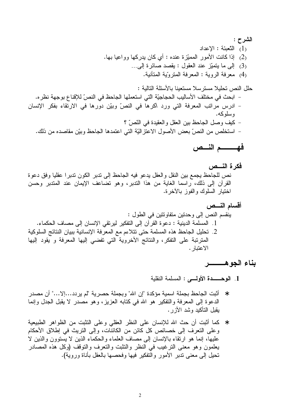فهـــــــم النـــص

بناء الجوهــــــــــر

- \* أثبت الجاحظ بجملة اسمية مؤكدة "إن الله" وبجملة حصرية "لم يردد…إلا…" أن مصدر الدعوة إلى المعرفة والتفكير هو الله في كتابه العزيز، وهو مُصدَّر لا يقبل الجدل وإنما يقبل التأكيد وشد الأزر .
- \* كما أثبت أن حث الله للإنسان على النظر العقلى وعلى التثبت من الظواهر الطبيعية وعلى النعرف إلى خصائص كل كائن من الكائنات، وإلى النريث في إطلاق الأحكام عليها، إنما هو ارتقاء بالإنسان إلى مصاف العلماء والحكماء الذين لا يُستوون والذين لا يعلمون وهو معنى النرغيب في النظر والنثبت والنعرف والنوقف (وكل هذه المصادر تحيل إلى معنى تدبر الأمور والتفكير فيها وفحصها بالعقل بأناة وروية).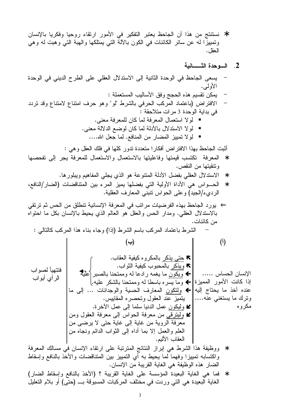\* نستتتج من هذا أن الجاحظ يعتبر التفكير في الأمور ارتقاء روحيا وفكريا بالإنسان وتمييزًا له عن سائر الكائنات ُّفي الكون بالآلة التي يُمتلكها والهبَّة التي وهبت له وهي العقل.

## 2. السوحدة الشسسانية

\* فما هي الغاية البعيدة المؤسسة على الغاية القريبة ؟ (الأخذ بالنافع وإسقاط الضار) الغاية البعيدة هي التي وردت في مخَّتلف المركبات المسبوقة بــــ (حتَّى) أو بلام التعليلُ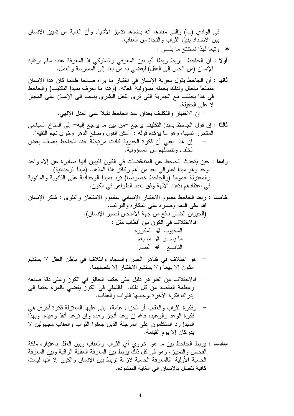- أولًا : أن الجاحظ بربط ربطًا أليا بين المعرفي والسلوكي إذ المعرفة عنده سلم يرتقيه الإنسان (من الحس إلى العقل) ليفضى به من بعد إلى الممارسة والعمل.
- **ثانيا :** أن الجاحظ يقول بحرية الإنسان في اختيار ما يراه صالحا طالما كان هذا الإنسان متمنعا بالعقل ولذلك يحمله مسؤولية أفعاله. (وهذا ما يعرف بمبدإ النكليف) والجاحظ في هذا يختلف مع الجبرية التي ترى الفعل البشري ينسب إلى الإنسان على المجاز لا على الحقيقة.

– إن الاختيار والتكليف يعدان عند الجاحظ دليلا على العدل الإلهي.

- ثالثًا : إن قول الجاحظ بمبدإ النكليف يرجع –من بين ما يرجع إليه– إلى المناخ السياسي المتحرر نسبيا، وهو ما يؤكده قوله : "أمكن القول وصلح الدهر وخوى نجم التقية". إن هذا يعني أن فكرة الجبرية كانت مرتبطة عند الجاحظ بعسف بعض الخلفاء ونتصلهم من المسؤولية.
- را**بع**ا : حين يتحدث الجاحظ عن المتناقضات في الكون فليبين أنها صادر ة عن إلاه واحد أوحد وهو مبدأ اعتزالي يعد من أهم ركائز هذا المذهب (مبدأ الوحدانية). والمعتزلة عموما (والجاحظ خصوصا) نرد بمبدإ الوحدانية علىي الثانوية والمانوية في اعتقادهم بتعدد الألهة وفق تعدد الظواهر في الكون.

- هو اختلاف في ظاهر الحس وانسجام وائتلاف في باطن العقل لا يستقيم الكون إلا بهما و لا يستقيم الاختيار إلا بفضلهما.
- فالاختلاف بين الظواهر دليل على حكمة الخالق في الكون وعلى دقة صنعه وعظمة المقصد من كل ذلك. فالنملي في الكون يفضيي بالمرء حتما إلى إدر اك فكر ة الآخر ة بو جهيها الثو اب و العقاب.
- وفكرة الثواب والعقاب أو الجزاء عامة، بنبي عليها المعتزلة فكرة أخرى هي فكرة الوعد والوعيد، فالله إن وعد أنجز وعده وإن نوعد أنفذ وعيده. وبهذا المبدإ رد المنكلمون على المرجئة الذين جعلوا الثواب والعقاب مجهولين لا يدركان إلا يوم القيامة.

سادسا : يربط الجاحظ بين ما هو أخروي أي الثواب والعقاب وبين العقل باعتباره ملكة الفحص والتمييز، وهو في كل ذلك يربط بين المعرفة العقلية الراقية وبين المعرفة الحسية الأولية. فالمعرفة الحسية لازمة نربط بين الإنسان والكون إلا أنها ليست كافية لتصل بالإنسان إلى الغاية المنشودة.